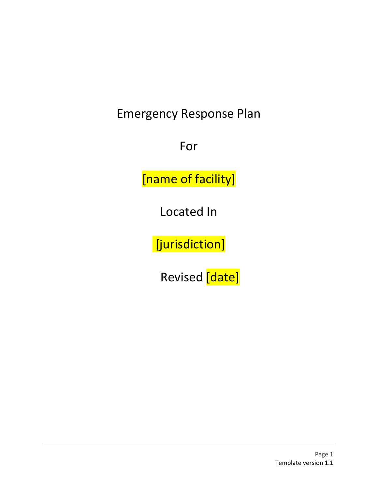Emergency Response Plan

For

[name of facility]

Located In

[jurisdiction]

Revised [date]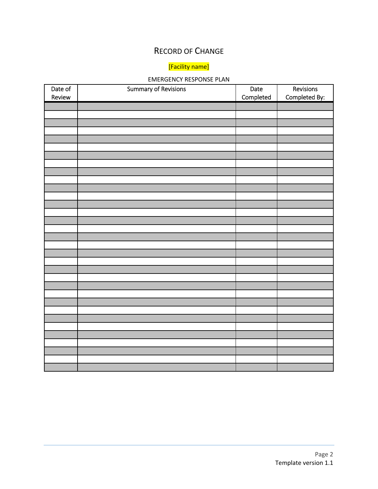### RECORD OF CHANGE

## [Facility name]

#### EMERGENCY RESPONSE PLAN

| Date of | <b>Summary of Revisions</b> | Date      | Revisions     |
|---------|-----------------------------|-----------|---------------|
| Review  |                             | Completed | Completed By: |
|         |                             |           |               |
|         |                             |           |               |
|         |                             |           |               |
|         |                             |           |               |
|         |                             |           |               |
|         |                             |           |               |
|         |                             |           |               |
|         |                             |           |               |
|         |                             |           |               |
|         |                             |           |               |
|         |                             |           |               |
|         |                             |           |               |
|         |                             |           |               |
|         |                             |           |               |
|         |                             |           |               |
|         |                             |           |               |
|         |                             |           |               |
|         |                             |           |               |
|         |                             |           |               |
|         |                             |           |               |
|         |                             |           |               |
|         |                             |           |               |
|         |                             |           |               |
|         |                             |           |               |
|         |                             |           |               |
|         |                             |           |               |
|         |                             |           |               |
|         |                             |           |               |
|         |                             |           |               |
|         |                             |           |               |
|         |                             |           |               |
|         |                             |           |               |
|         |                             |           |               |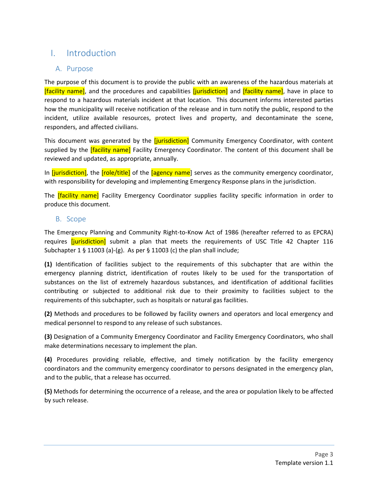## I. Introduction

#### A. Purpose

The purpose of this document is to provide the public with an awareness of the hazardous materials at [facility name], and the procedures and capabilities *[jurisdiction]* and *[facility name]*, have in place to respond to a hazardous materials incident at that location. This document informs interested parties how the municipality will receive notification of the release and in turn notify the public, respond to the incident, utilize available resources, protect lives and property, and decontaminate the scene, responders, and affected civilians.

This document was generated by the *[jurisdiction]* Community Emergency Coordinator, with content supplied by the *[facility name]* Facility Emergency Coordinator. The content of this document shall be reviewed and updated, as appropriate, annually.

In *[jurisdiction]*, the *[role/title]* of the *[agency name]* serves as the community emergency coordinator, with responsibility for developing and implementing Emergency Response plans in the jurisdiction.

The *[facility name]* Facility Emergency Coordinator supplies facility specific information in order to produce this document.

#### B. Scope

The Emergency Planning and Community Right‐to‐Know Act of 1986 (hereafter referred to as EPCRA) requires [jurisdiction] submit a plan that meets the requirements of USC Title 42 Chapter 116 Subchapter 1 § 11003 (a)‐(g). As per § 11003 (c) the plan shall include;

**(1)** Identification of facilities subject to the requirements of this subchapter that are within the emergency planning district, identification of routes likely to be used for the transportation of substances on the list of extremely hazardous substances, and identification of additional facilities contributing or subjected to additional risk due to their proximity to facilities subject to the requirements of this subchapter, such as hospitals or natural gas facilities.

**(2)** Methods and procedures to be followed by facility owners and operators and local emergency and medical personnel to respond to any release of such substances.

**(3)** Designation of a Community Emergency Coordinator and Facility Emergency Coordinators, who shall make determinations necessary to implement the plan.

**(4)** Procedures providing reliable, effective, and timely notification by the facility emergency coordinators and the community emergency coordinator to persons designated in the emergency plan, and to the public, that a release has occurred.

**(5)** Methods for determining the occurrence of a release, and the area or population likely to be affected by such release.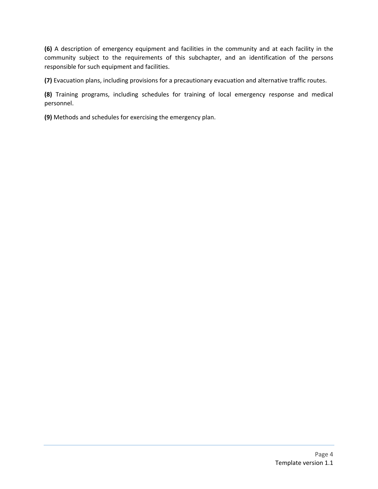**(6)** A description of emergency equipment and facilities in the community and at each facility in the community subject to the requirements of this subchapter, and an identification of the persons responsible for such equipment and facilities.

**(7)** Evacuation plans, including provisions for a precautionary evacuation and alternative traffic routes.

**(8)** Training programs, including schedules for training of local emergency response and medical personnel.

**(9)** Methods and schedules for exercising the emergency plan.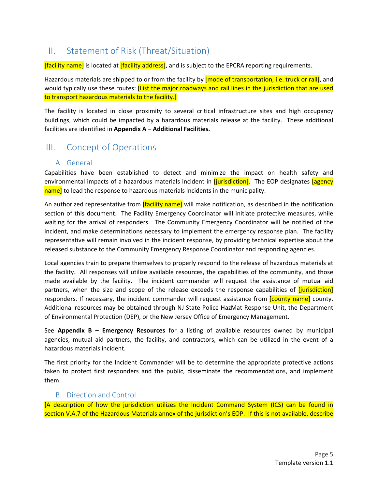## II. Statement of Risk (Threat/Situation)

**[facility name]** is located at **[facility address]**, and is subject to the EPCRA reporting requirements.

Hazardous materials are shipped to or from the facility by **[mode of transportation, i.e. truck or rail]**, and would typically use these routes: *[List the major roadways and rail lines in the jurisdiction that are used* to transport hazardous materials to the facility.]

The facility is located in close proximity to several critical infrastructure sites and high occupancy buildings, which could be impacted by a hazardous materials release at the facility. These additional facilities are identified in **Appendix A – Additional Facilities.**

### III. Concept of Operations

#### A. General

Capabilities have been established to detect and minimize the impact on health safety and environmental impacts of a hazardous materials incident in *[jurisdiction]*. The EOP designates *[agency* name] to lead the response to hazardous materials incidents in the municipality.

An authorized representative from **[facility name]** will make notification, as described in the notification section of this document. The Facility Emergency Coordinator will initiate protective measures, while waiting for the arrival of responders. The Community Emergency Coordinator will be notified of the incident, and make determinations necessary to implement the emergency response plan. The facility representative will remain involved in the incident response, by providing technical expertise about the released substance to the Community Emergency Response Coordinator and responding agencies.

Local agencies train to prepare themselves to properly respond to the release of hazardous materials at the facility. All responses will utilize available resources, the capabilities of the community, and those made available by the facility. The incident commander will request the assistance of mutual aid partners, when the size and scope of the release exceeds the response capabilities of *[jurisdiction]* responders. If necessary, the incident commander will request assistance from *[county name]* county. Additional resources may be obtained through NJ State Police HazMat Response Unit, the Department of Environmental Protection (DEP), or the New Jersey Office of Emergency Management.

See **Appendix B – Emergency Resources** for a listing of available resources owned by municipal agencies, mutual aid partners, the facility, and contractors, which can be utilized in the event of a hazardous materials incident.

The first priority for the Incident Commander will be to determine the appropriate protective actions taken to protect first responders and the public, disseminate the recommendations, and implement them.

#### B. Direction and Control

[A description of how the jurisdiction utilizes the Incident Command System (ICS) can be found in section V.A.7 of the Hazardous Materials annex of the jurisdiction's EOP. If this is not available, describe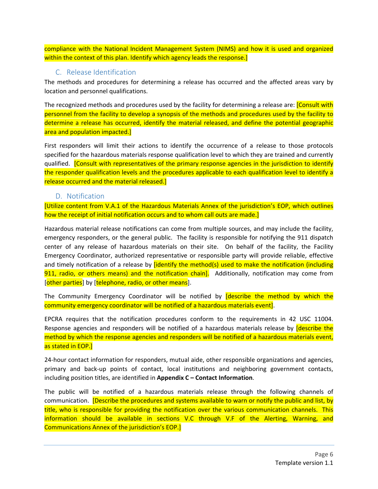compliance with the National Incident Management System (NIMS) and how it is used and organized within the context of this plan. Identify which agency leads the response.]

#### C. Release Identification

The methods and procedures for determining a release has occurred and the affected areas vary by location and personnel qualifications.

The recognized methods and procedures used by the facility for determining a release are: **[Consult with** personnel from the facility to develop a synopsis of the methods and procedures used by the facility to determine a release has occurred, identify the material released, and define the potential geographic area and population impacted.]

First responders will limit their actions to identify the occurrence of a release to those protocols specified for the hazardous materials response qualification level to which they are trained and currently qualified. [Consult with representatives of the primary response agencies in the jurisdiction to identify the responder qualification levels and the procedures applicable to each qualification level to identify a release occurred and the material released.]

#### D. Notification

[Utilize content from V.A.1 of the Hazardous Materials Annex of the jurisdiction's EOP, which outlines how the receipt of initial notification occurs and to whom call outs are made.]

Hazardous material release notifications can come from multiple sources, and may include the facility, emergency responders, or the general public. The facility is responsible for notifying the 911 dispatch center of any release of hazardous materials on their site. On behalf of the facility, the Facility Emergency Coordinator, authorized representative or responsible party will provide reliable, effective and timely notification of a release by *[identify the method(s)* used to make the notification (including 911, radio, or others means) and the notification chain]. Additionally, notification may come from [other parties] by [telephone, radio, or other means].

The Community Emergency Coordinator will be notified by **[describe the method by which the** community emergency coordinator will be notified of a hazardous materials event].

EPCRA requires that the notification procedures conform to the requirements in 42 USC 11004. Response agencies and responders will be notified of a hazardous materials release by *describe the* method by which the response agencies and responders will be notified of a hazardous materials event, as stated in EOP.]

24‐hour contact information for responders, mutual aide, other responsible organizations and agencies, primary and back‐up points of contact, local institutions and neighboring government contacts, including position titles, are identified in **Appendix C – Contact Information**.

The public will be notified of a hazardous materials release through the following channels of communication. [Describe the procedures and systems available to warn or notify the public and list, by title, who is responsible for providing the notification over the various communication channels. This information should be available in sections V.C through V.F of the Alerting, Warning, and Communications Annex of the jurisdiction's EOP.]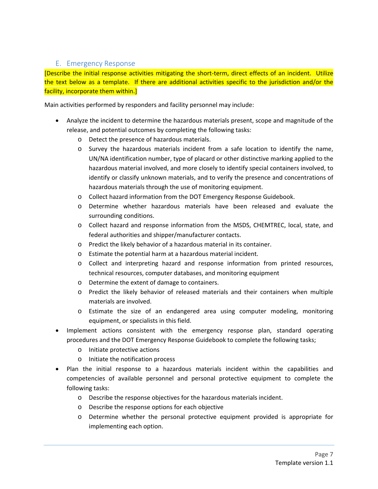#### E. Emergency Response

[Describe the initial response activities mitigating the short‐term, direct effects of an incident. Utilize the text below as a template. If there are additional activities specific to the jurisdiction and/or the facility, incorporate them within.]

Main activities performed by responders and facility personnel may include:

- Analyze the incident to determine the hazardous materials present, scope and magnitude of the release, and potential outcomes by completing the following tasks:
	- o Detect the presence of hazardous materials.
	- o Survey the hazardous materials incident from a safe location to identify the name, UN/NA identification number, type of placard or other distinctive marking applied to the hazardous material involved, and more closely to identify special containers involved, to identify or classify unknown materials, and to verify the presence and concentrations of hazardous materials through the use of monitoring equipment.
	- o Collect hazard information from the DOT Emergency Response Guidebook.
	- o Determine whether hazardous materials have been released and evaluate the surrounding conditions.
	- o Collect hazard and response information from the MSDS, CHEMTREC, local, state, and federal authorities and shipper/manufacturer contacts.
	- o Predict the likely behavior of a hazardous material in its container.
	- o Estimate the potential harm at a hazardous material incident.
	- o Collect and interpreting hazard and response information from printed resources, technical resources, computer databases, and monitoring equipment
	- o Determine the extent of damage to containers.
	- o Predict the likely behavior of released materials and their containers when multiple materials are involved.
	- o Estimate the size of an endangered area using computer modeling, monitoring equipment, or specialists in this field.
- Implement actions consistent with the emergency response plan, standard operating procedures and the DOT Emergency Response Guidebook to complete the following tasks;
	- o Initiate protective actions
	- o Initiate the notification process
- Plan the initial response to a hazardous materials incident within the capabilities and competencies of available personnel and personal protective equipment to complete the following tasks:
	- o Describe the response objectives for the hazardous materials incident.
	- o Describe the response options for each objective
	- o Determine whether the personal protective equipment provided is appropriate for implementing each option.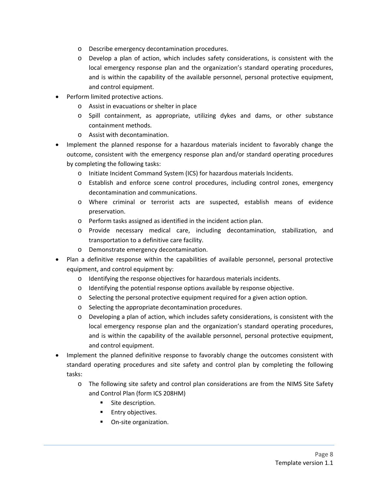- o Describe emergency decontamination procedures.
- o Develop a plan of action, which includes safety considerations, is consistent with the local emergency response plan and the organization's standard operating procedures, and is within the capability of the available personnel, personal protective equipment, and control equipment.
- Perform limited protective actions.
	- o Assist in evacuations or shelter in place
	- o Spill containment, as appropriate, utilizing dykes and dams, or other substance containment methods.
	- o Assist with decontamination.
- Implement the planned response for a hazardous materials incident to favorably change the outcome, consistent with the emergency response plan and/or standard operating procedures by completing the following tasks:
	- o Initiate Incident Command System (ICS) for hazardous materials Incidents.
	- o Establish and enforce scene control procedures, including control zones, emergency decontamination and communications.
	- o Where criminal or terrorist acts are suspected, establish means of evidence preservation.
	- o Perform tasks assigned as identified in the incident action plan.
	- o Provide necessary medical care, including decontamination, stabilization, and transportation to a definitive care facility.
	- o Demonstrate emergency decontamination.
- Plan a definitive response within the capabilities of available personnel, personal protective equipment, and control equipment by:
	- o Identifying the response objectives for hazardous materials incidents.
	- o Identifying the potential response options available by response objective.
	- o Selecting the personal protective equipment required for a given action option.
	- o Selecting the appropriate decontamination procedures.
	- o Developing a plan of action, which includes safety considerations, is consistent with the local emergency response plan and the organization's standard operating procedures, and is within the capability of the available personnel, personal protective equipment, and control equipment.
- Implement the planned definitive response to favorably change the outcomes consistent with standard operating procedures and site safety and control plan by completing the following tasks:
	- o The following site safety and control plan considerations are from the NIMS Site Safety and Control Plan (form ICS 208HM)
		- **Site description.**
		- **Entry objectives.**
		- On-site organization.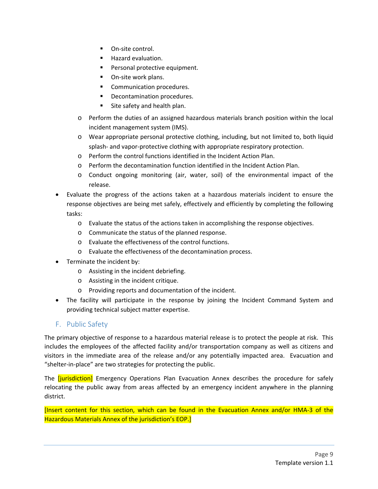- On-site control.
- **Hazard evaluation.**
- **Personal protective equipment.**
- On-site work plans.
- Communication procedures.
- Decontamination procedures.
- Site safety and health plan.
- o Perform the duties of an assigned hazardous materials branch position within the local incident management system (IMS).
- o Wear appropriate personal protective clothing, including, but not limited to, both liquid splash- and vapor-protective clothing with appropriate respiratory protection.
- o Perform the control functions identified in the Incident Action Plan.
- o Perform the decontamination function identified in the Incident Action Plan.
- o Conduct ongoing monitoring (air, water, soil) of the environmental impact of the release.
- Evaluate the progress of the actions taken at a hazardous materials incident to ensure the response objectives are being met safely, effectively and efficiently by completing the following tasks:
	- o Evaluate the status of the actions taken in accomplishing the response objectives.
	- o Communicate the status of the planned response.
	- o Evaluate the effectiveness of the control functions.
	- o Evaluate the effectiveness of the decontamination process.
- Terminate the incident by:
	- o Assisting in the incident debriefing.
	- o Assisting in the incident critique.
	- o Providing reports and documentation of the incident.
- The facility will participate in the response by joining the Incident Command System and providing technical subject matter expertise.

#### F. Public Safety

The primary objective of response to a hazardous material release is to protect the people at risk. This includes the employees of the affected facility and/or transportation company as well as citizens and visitors in the immediate area of the release and/or any potentially impacted area. Evacuation and "shelter‐in‐place" are two strategies for protecting the public.

The *[jurisdiction]* Emergency Operations Plan Evacuation Annex describes the procedure for safely relocating the public away from areas affected by an emergency incident anywhere in the planning district.

[Insert content for this section, which can be found in the Evacuation Annex and/or HMA‐3 of the Hazardous Materials Annex of the jurisdiction's EOP.]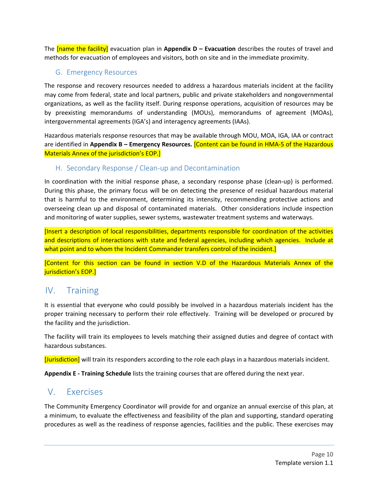The [name the facility] evacuation plan in **Appendix D – Evacuation** describes the routes of travel and methods for evacuation of employees and visitors, both on site and in the immediate proximity.

#### G. Emergency Resources

The response and recovery resources needed to address a hazardous materials incident at the facility may come from federal, state and local partners, public and private stakeholders and nongovernmental organizations, as well as the facility itself. During response operations, acquisition of resources may be by preexisting memorandums of understanding (MOUs), memorandums of agreement (MOAs), intergovernmental agreements (IGA's) and interagency agreements (IAAs).

Hazardous materials response resources that may be available through MOU, MOA, IGA, IAA or contract are identified in **Appendix B – Emergency Resources.** [Content can be found in HMA‐5 of the Hazardous Materials Annex of the jurisdiction's EOP.]

#### H. Secondary Response / Clean‐up and Decontamination

In coordination with the initial response phase, a secondary response phase (clean-up) is performed. During this phase, the primary focus will be on detecting the presence of residual hazardous material that is harmful to the environment, determining its intensity, recommending protective actions and overseeing clean up and disposal of contaminated materials. Other considerations include inspection and monitoring of water supplies, sewer systems, wastewater treatment systems and waterways.

[Insert a description of local responsibilities, departments responsible for coordination of the activities and descriptions of interactions with state and federal agencies, including which agencies. Include at what point and to whom the Incident Commander transfers control of the incident.

[Content for this section can be found in section V.D of the Hazardous Materials Annex of the jurisdiction's EOP.]

### IV. Training

It is essential that everyone who could possibly be involved in a hazardous materials incident has the proper training necessary to perform their role effectively. Training will be developed or procured by the facility and the jurisdiction.

The facility will train its employees to levels matching their assigned duties and degree of contact with hazardous substances.

[Jurisdiction] will train its responders according to the role each plays in a hazardous materials incident.

**Appendix E ‐ Training Schedule** lists the training courses that are offered during the next year.

### V. Exercises

The Community Emergency Coordinator will provide for and organize an annual exercise of this plan, at a minimum, to evaluate the effectiveness and feasibility of the plan and supporting, standard operating procedures as well as the readiness of response agencies, facilities and the public. These exercises may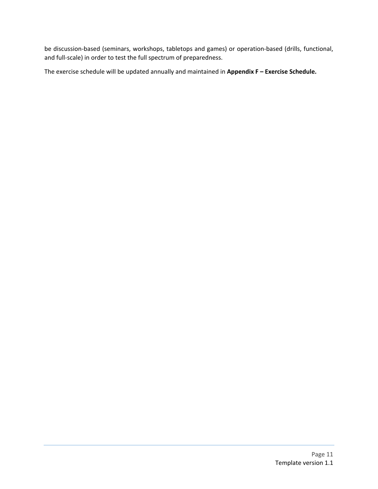be discussion‐based (seminars, workshops, tabletops and games) or operation‐based (drills, functional, and full-scale) in order to test the full spectrum of preparedness.

The exercise schedule will be updated annually and maintained in **Appendix F – Exercise Schedule.**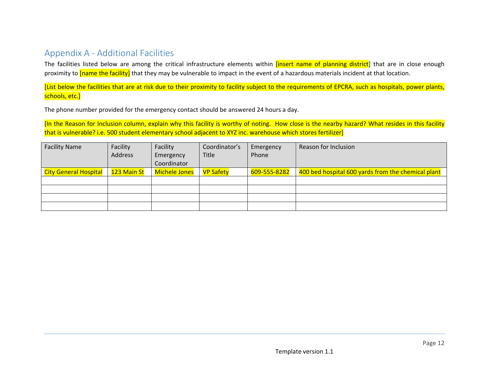### Appendix A ‐ Additional Facilities

The facilities listed below are among the critical infrastructure elements within <mark>[insert name of planning district</mark>] that are in close enough proximity to *[name the facility]* that they may be vulnerable to impact in the event of a hazardous materials incident at that location.

[List below the facilities that are at risk due to their proximity to facility subject to the requirements of EPCRA, such as hospitals, power plants, schools, etc.]

The phone number provided for the emergency contact should be answered 24 hours <sup>a</sup> day.

[In the Reason for Inclusion column, explain why this facility is worthy of noting. How close is the nearby hazard? What resides in this facility that is vulnerable? i.e. 500 student elementary school adjacent to XYZ inc. warehouse which stores fertilizer]

| <b>Facility Name</b>         | Facility    | Facility      | Coordinator's    | Emergency    | Reason for Inclusion                               |
|------------------------------|-------------|---------------|------------------|--------------|----------------------------------------------------|
|                              | Address     | Emergency     | <b>Title</b>     | Phone        |                                                    |
|                              |             | Coordinator   |                  |              |                                                    |
| <b>City General Hospital</b> | 123 Main St | Michele Jones | <b>VP Safety</b> | 609-555-8282 | 400 bed hospital 600 yards from the chemical plant |
|                              |             |               |                  |              |                                                    |
|                              |             |               |                  |              |                                                    |
|                              |             |               |                  |              |                                                    |
|                              |             |               |                  |              |                                                    |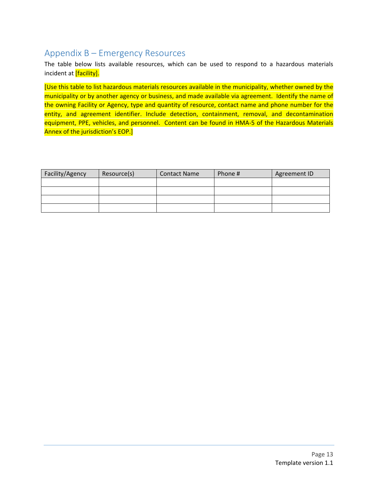## Appendix B – Emergency Resources

The table below lists available resources, which can be used to respond to a hazardous materials incident at *[facility].* 

[Use this table to list hazardous materials resources available in the municipality, whether owned by the municipality or by another agency or business, and made available via agreement. Identify the name of the owning Facility or Agency, type and quantity of resource, contact name and phone number for the entity, and agreement identifier. Include detection, containment, removal, and decontamination equipment, PPE, vehicles, and personnel. Content can be found in HMA-5 of the Hazardous Materials Annex of the jurisdiction's EOP.]

| Facility/Agency | Resource(s) | <b>Contact Name</b> | Phone # | Agreement ID |
|-----------------|-------------|---------------------|---------|--------------|
|                 |             |                     |         |              |
|                 |             |                     |         |              |
|                 |             |                     |         |              |
|                 |             |                     |         |              |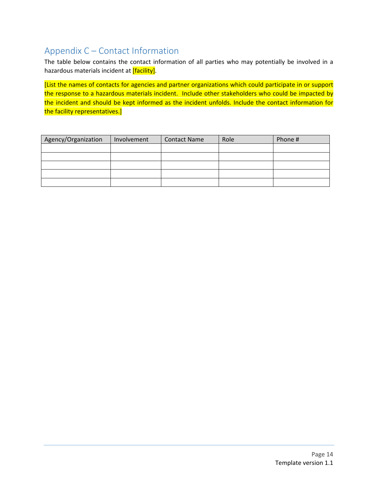## Appendix C – Contact Information

The table below contains the contact information of all parties who may potentially be involved in a hazardous materials incident at **[facility]**.

[List the names of contacts for agencies and partner organizations which could participate in or support the response to a hazardous materials incident. Include other stakeholders who could be impacted by the incident and should be kept informed as the incident unfolds. Include the contact information for the facility representatives.]

| Agency/Organization | Involvement | <b>Contact Name</b> | Role | Phone # |
|---------------------|-------------|---------------------|------|---------|
|                     |             |                     |      |         |
|                     |             |                     |      |         |
|                     |             |                     |      |         |
|                     |             |                     |      |         |
|                     |             |                     |      |         |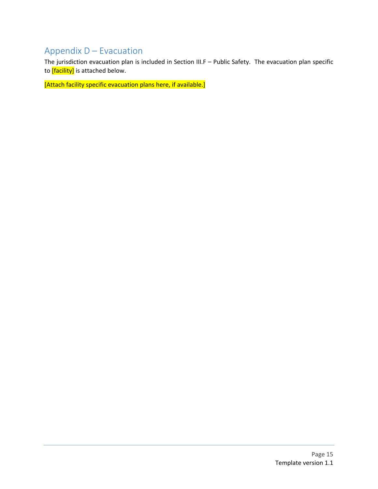## Appendix D – Evacuation

The jurisdiction evacuation plan is included in Section III.F – Public Safety. The evacuation plan specific to *[facility]* is attached below.

[Attach facility specific evacuation plans here, if available.]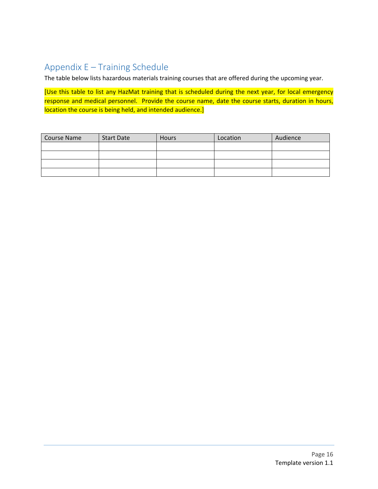# Appendix E – Training Schedule

The table below lists hazardous materials training courses that are offered during the upcoming year.

[Use this table to list any HazMat training that is scheduled during the next year, for local emergency response and medical personnel. Provide the course name, date the course starts, duration in hours, location the course is being held, and intended audience.]

| <b>Course Name</b> | <b>Start Date</b> | <b>Hours</b> | Location | Audience |
|--------------------|-------------------|--------------|----------|----------|
|                    |                   |              |          |          |
|                    |                   |              |          |          |
|                    |                   |              |          |          |
|                    |                   |              |          |          |